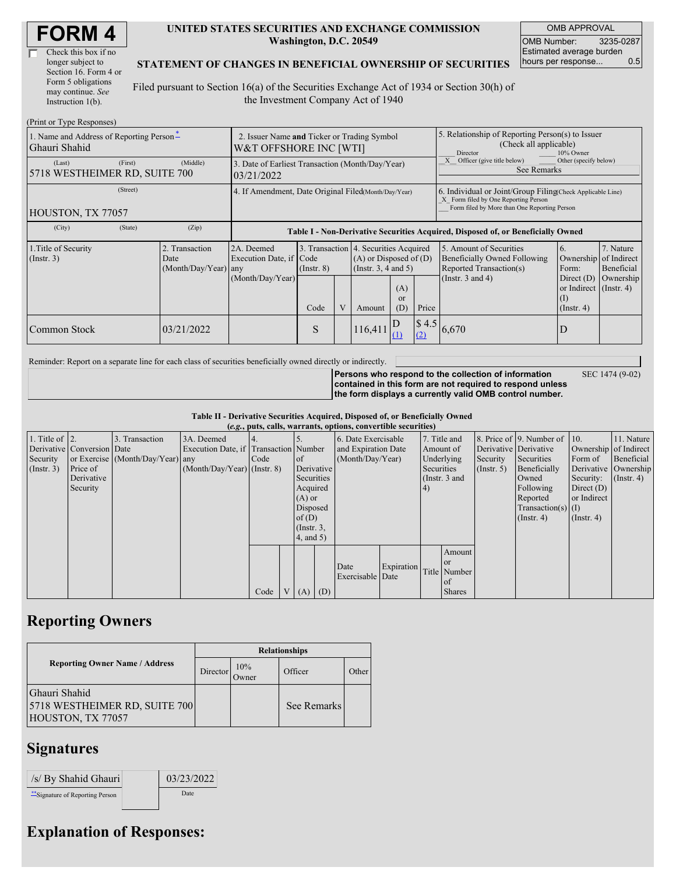| Check this box if no  |
|-----------------------|
| longer subject to     |
| Section 16. Form 4 or |
| Form 5 obligations    |
| may continue. See     |
| Instruction $1(b)$ .  |

### **UNITED STATES SECURITIES AND EXCHANGE COMMISSION Washington, D.C. 20549**

OMB APPROVAL OMB Number: 3235-0287 Estimated average burden hours per response... 0.5

### **STATEMENT OF CHANGES IN BENEFICIAL OWNERSHIP OF SECURITIES**

Filed pursuant to Section 16(a) of the Securities Exchange Act of 1934 or Section 30(h) of the Investment Company Act of 1940

| (Print or Type Responses)                                 |                                                                       |                                                  |                                                                                  |                 |   |                                                                                                                     |                                                                                                                                                    |              |                                                                                                                                                   |                  |                                                                                         |  |
|-----------------------------------------------------------|-----------------------------------------------------------------------|--------------------------------------------------|----------------------------------------------------------------------------------|-----------------|---|---------------------------------------------------------------------------------------------------------------------|----------------------------------------------------------------------------------------------------------------------------------------------------|--------------|---------------------------------------------------------------------------------------------------------------------------------------------------|------------------|-----------------------------------------------------------------------------------------|--|
| 1. Name and Address of Reporting Person*<br>Ghauri Shahid | 2. Issuer Name and Ticker or Trading Symbol<br>W&T OFFSHORE INC [WTI] |                                                  |                                                                                  |                 |   |                                                                                                                     | 5. Relationship of Reporting Person(s) to Issuer<br>(Check all applicable)<br>Director<br>10% Owner                                                |              |                                                                                                                                                   |                  |                                                                                         |  |
| (Last)<br>5718 WESTHEIMER RD, SUITE 700                   | (First)                                                               | (Middle)                                         | 3. Date of Earliest Transaction (Month/Day/Year)<br>03/21/2022                   |                 |   |                                                                                                                     |                                                                                                                                                    |              | Other (specify below)<br>Officer (give title below)<br><b>See Remarks</b>                                                                         |                  |                                                                                         |  |
| HOUSTON, TX 77057                                         | 4. If Amendment, Date Original Filed Month/Day/Year)                  |                                                  |                                                                                  |                 |   |                                                                                                                     | 6. Individual or Joint/Group Filing(Check Applicable Line)<br>X Form filed by One Reporting Person<br>Form filed by More than One Reporting Person |              |                                                                                                                                                   |                  |                                                                                         |  |
| (City)                                                    | (State)                                                               | (Zip)                                            | Table I - Non-Derivative Securities Acquired, Disposed of, or Beneficially Owned |                 |   |                                                                                                                     |                                                                                                                                                    |              |                                                                                                                                                   |                  |                                                                                         |  |
| 1. Title of Security<br>$($ Instr. 3 $)$                  |                                                                       | 2. Transaction<br>Date<br>$(Month/Day/Year)$ any | 2A. Deemed<br>Execution Date, if Code<br>(Month/Day/Year)                        | $($ Instr. $8)$ |   | 3. Transaction 4. Securities Acquired<br>$(A)$ or Disposed of $(D)$<br>(Insert. 3, 4 and 5)<br>(A)<br><sub>or</sub> |                                                                                                                                                    |              | 5. Amount of Securities<br>6.<br>Beneficially Owned Following<br>Reported Transaction(s)<br>Form:<br>(Instr. $3$ and $4$ )<br>Direct $(D)$<br>(I) |                  | 7. Nature<br>Ownership of Indirect<br>Beneficial<br>Ownership<br>or Indirect (Instr. 4) |  |
|                                                           |                                                                       |                                                  |                                                                                  | Code            | V | Amount                                                                                                              | (D)                                                                                                                                                | Price        |                                                                                                                                                   | $($ Instr. 4 $)$ |                                                                                         |  |
| Common Stock                                              |                                                                       | 03/21/2022                                       |                                                                                  | S               |   | 116,411                                                                                                             | D<br>Œ                                                                                                                                             | \$4.5<br>(2) | 6,670                                                                                                                                             | D                |                                                                                         |  |

Reminder: Report on a separate line for each class of securities beneficially owned directly or indirectly.

**Persons who respond to the collection of information**

SEC 1474 (9-02)

**contained in this form are not required to respond unless the form displays a currently valid OMB control number.**

**Table II - Derivative Securities Acquired, Disposed of, or Beneficially Owned**

| (e.g., puts, calls, warrants, options, convertible securities) |                            |                                  |                                       |      |                 |                 |            |                     |            |               |               |                  |                              |                       |                      |
|----------------------------------------------------------------|----------------------------|----------------------------------|---------------------------------------|------|-----------------|-----------------|------------|---------------------|------------|---------------|---------------|------------------|------------------------------|-----------------------|----------------------|
| 1. Title of $\vert$ 2.                                         |                            | 3. Transaction                   | 3A. Deemed                            |      |                 |                 |            | 6. Date Exercisable |            |               | 7. Title and  |                  | 8. Price of 9. Number of 10. |                       | 11. Nature           |
|                                                                | Derivative Conversion Date |                                  | Execution Date, if Transaction Number |      |                 |                 |            | and Expiration Date |            | Amount of     |               |                  | Derivative Derivative        | Ownership of Indirect |                      |
| Security                                                       |                            | or Exercise (Month/Day/Year) any |                                       | Code |                 | $\circ$ f       |            | (Month/Day/Year)    |            | Underlying    |               | Security         | Securities                   | Form of               | Beneficial           |
| (Insert. 3)                                                    | Price of                   |                                  | $(Month/Day/Year)$ (Instr. 8)         |      |                 |                 | Derivative |                     |            | Securities    |               | $($ Instr. 5 $)$ | Beneficially                 |                       | Derivative Ownership |
|                                                                | Derivative                 |                                  |                                       |      |                 | Securities      |            |                     |            | (Instr. 3 and |               |                  | Owned                        | Security:             | $($ Instr. 4 $)$     |
|                                                                | Security                   |                                  |                                       |      |                 | Acquired        |            |                     |            | (4)           |               |                  | Following                    | Direct $(D)$          |                      |
|                                                                |                            |                                  |                                       |      |                 | $(A)$ or        |            |                     |            |               |               |                  | Reported                     | or Indirect           |                      |
|                                                                |                            |                                  |                                       |      |                 | Disposed        |            |                     |            |               |               |                  | $Transaction(s)$ (I)         |                       |                      |
|                                                                |                            |                                  |                                       |      |                 | of $(D)$        |            |                     |            |               |               |                  | $($ Instr. 4)                | $($ Instr. 4 $)$      |                      |
|                                                                |                            |                                  |                                       |      |                 | $($ Instr. $3,$ |            |                     |            |               |               |                  |                              |                       |                      |
|                                                                |                            |                                  |                                       |      |                 | 4, and 5)       |            |                     |            |               |               |                  |                              |                       |                      |
|                                                                |                            |                                  |                                       |      |                 |                 |            |                     |            |               | Amount        |                  |                              |                       |                      |
|                                                                |                            |                                  |                                       |      |                 |                 |            | Date                | Expiration |               | <b>or</b>     |                  |                              |                       |                      |
|                                                                |                            |                                  |                                       |      |                 |                 |            | Exercisable Date    |            |               | Title Number  |                  |                              |                       |                      |
|                                                                |                            |                                  |                                       |      |                 |                 |            |                     |            |               | of            |                  |                              |                       |                      |
|                                                                |                            |                                  |                                       | Code | $V_{\parallel}$ | $(A)$ $(D)$     |            |                     |            |               | <b>Shares</b> |                  |                              |                       |                      |

# **Reporting Owners**

|                                                                     | <b>Relationships</b> |              |             |       |  |  |  |
|---------------------------------------------------------------------|----------------------|--------------|-------------|-------|--|--|--|
| <b>Reporting Owner Name / Address</b>                               | Director             | 10%<br>Jwner | Officer     | Other |  |  |  |
| Ghauri Shahid<br>5718 WESTHEIMER RD, SUITE 700<br>HOUSTON, TX 77057 |                      |              | See Remarks |       |  |  |  |

### **Signatures**

| /s/ By Shahid Ghauri             | 03/23/2022 |
|----------------------------------|------------|
| ** Signature of Reporting Person | Date       |

## **Explanation of Responses:**